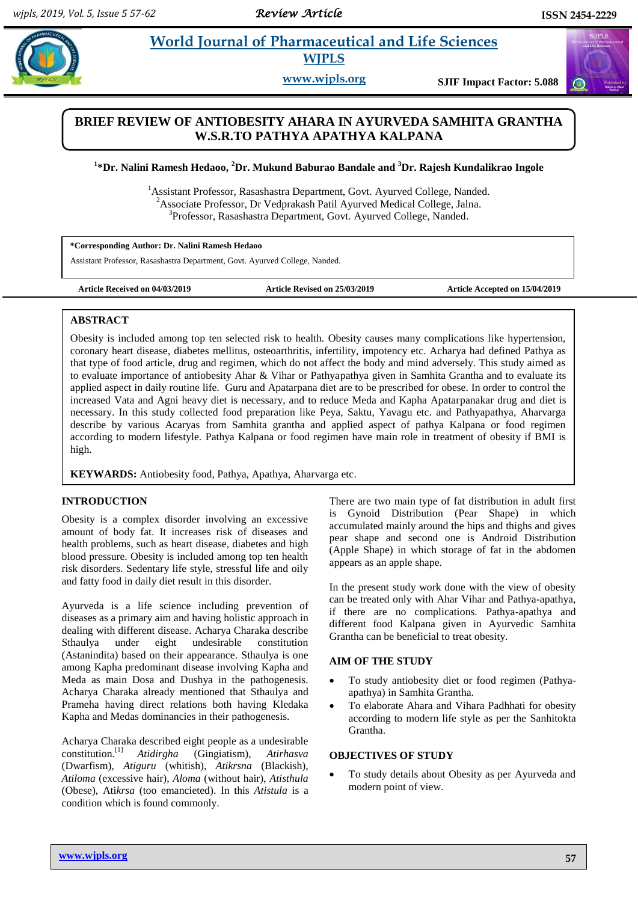$\bigodot$ 

# **Paramaceutical and Life Sciences WJPLS**

**www.wjpls.org SJIF Impact Factor: 5.088**

# **BRIEF REVIEW OF ANTIOBESITY AHARA IN AYURVEDA SAMHITA GRANTHA W.S.R.TO PATHYA APATHYA KALPANA**

**1 \*Dr. Nalini Ramesh Hedaoo, <sup>2</sup>Dr. Mukund Baburao Bandale and <sup>3</sup>Dr. Rajesh Kundalikrao Ingole**

<sup>1</sup>Assistant Professor, Rasashastra Department, Govt. Ayurved College, Nanded.  $2A$ ssociate Professor, Dr Vedprakash Patil Ayurved Medical College, Jalna. 3 Professor, Rasashastra Department, Govt. Ayurved College, Nanded.

**\*Corresponding Author: Dr. Nalini Ramesh Hedaoo**

Assistant Professor, Rasashastra Department, Govt. Ayurved College, Nanded.

**Article Received on 04/03/2019 Article Revised on 25/03/2019 Article Accepted on 15/04/2019**

### **ABSTRACT**

Obesity is included among top ten selected risk to health. Obesity causes many complications like hypertension, coronary heart disease, diabetes mellitus, osteoarthritis, infertility, impotency etc. Acharya had defined Pathya as that type of food article, drug and regimen, which do not affect the body and mind adversely. This study aimed as to evaluate importance of antiobesity Ahar & Vihar or Pathyapathya given in Samhita Grantha and to evaluate its applied aspect in daily routine life. Guru and Apatarpana diet are to be prescribed for obese. In order to control the increased Vata and Agni heavy diet is necessary, and to reduce Meda and Kapha Apatarpanakar drug and diet is necessary. In this study collected food preparation like Peya, Saktu, Yavagu etc. and Pathyapathya, Aharvarga describe by various Acaryas from Samhita grantha and applied aspect of pathya Kalpana or food regimen according to modern lifestyle. Pathya Kalpana or food regimen have main role in treatment of obesity if BMI is high.

**KEYWARDS:** Antiobesity food, Pathya, Apathya, Aharvarga etc.

#### **INTRODUCTION**

Obesity is a complex disorder involving an excessive amount of body fat. It increases risk of diseases and health problems, such as heart disease, diabetes and high blood pressure. Obesity is included among top ten health risk disorders. Sedentary life style, stressful life and oily and fatty food in daily diet result in this disorder.

Ayurveda is a life science including prevention of diseases as a primary aim and having holistic approach in dealing with different disease. Acharya Charaka describe Sthaulya under eight undesirable constitution (Astanindita) based on their appearance. Sthaulya is one among Kapha predominant disease involving Kapha and Meda as main Dosa and Dushya in the pathogenesis. Acharya Charaka already mentioned that Sthaulya and Prameha having direct relations both having Kledaka Kapha and Medas dominancies in their pathogenesis.

Acharya Charaka described eight people as a undesirable constitution.<sup>[1]</sup> [1] *Atidirgha* (Gingiatism), *Atirhasva* (Dwarfism), *Atiguru* (whitish), *Atikrsna* (Blackish), *Atiloma* (excessive hair), *Aloma* (without hair), *Atisthula* (Obese), Ati*krsa* (too emancieted). In this *Atistula* is a condition which is found commonly.

There are two main type of fat distribution in adult first is Gynoid Distribution (Pear Shape) in which accumulated mainly around the hips and thighs and gives pear shape and second one is Android Distribution (Apple Shape) in which storage of fat in the abdomen appears as an apple shape.

In the present study work done with the view of obesity can be treated only with Ahar Vihar and Pathya-apathya, if there are no complications. Pathya-apathya and different food Kalpana given in Ayurvedic Samhita Grantha can be beneficial to treat obesity.

#### **AIM OF THE STUDY**

- To study antiobesity diet or food regimen (Pathyaapathya) in Samhita Grantha.
- To elaborate Ahara and Vihara Padhhati for obesity according to modern life style as per the Sanhitokta Grantha.

### **OBJECTIVES OF STUDY**

 To study details about Obesity as per Ayurveda and modern point of view.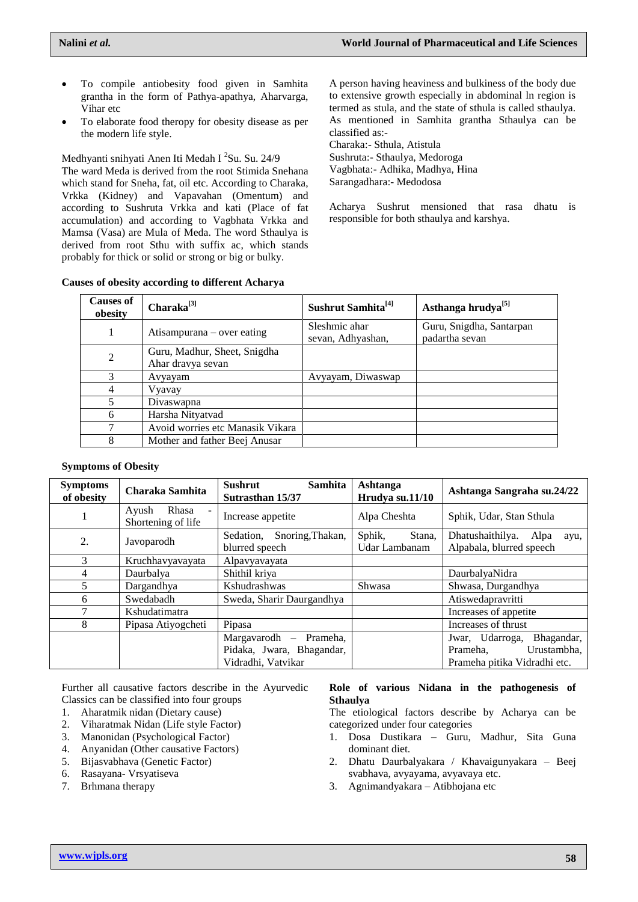- To compile antiobesity food given in Samhita grantha in the form of Pathya-apathya, Aharvarga, Vihar etc
- To elaborate food theropy for obesity disease as per the modern life style.

Medhyanti snihyati Anen Iti Medah I 2 Su. Su. 24/9

The ward Meda is derived from the root Stimida Snehana which stand for Sneha, fat, oil etc. According to Charaka, Vrkka (Kidney) and Vapavahan (Omentum) and according to Sushruta Vrkka and kati (Place of fat accumulation) and according to Vagbhata Vrkka and Mamsa (Vasa) are Mula of Meda. The word Sthaulya is derived from root Sthu with suffix ac, which stands probably for thick or solid or strong or big or bulky.

A person having heaviness and bulkiness of the body due to extensive growth especially in abdominal ln region is termed as stula, and the state of sthula is called sthaulya. As mentioned in Samhita grantha Sthaulya can be classified as:-

Charaka:- Sthula, Atistula Sushruta:- Sthaulya, Medoroga Vagbhata:- Adhika, Madhya, Hina Sarangadhara:- Medodosa

Acharya Sushrut mensioned that rasa dhatu is responsible for both sthaulya and karshya.

#### **Causes of obesity according to different Acharya**

| <b>Causes of</b><br>obesity | $Charaka^{[3]}$                                   | Sushrut Samhita <sup>[4]</sup>     | Asthanga hrudya <sup>[5]</sup>             |
|-----------------------------|---------------------------------------------------|------------------------------------|--------------------------------------------|
|                             | Atisampurana – over eating                        | Sleshmic ahar<br>sevan, Adhyashan, | Guru, Snigdha, Santarpan<br>padartha sevan |
| $\overline{2}$              | Guru, Madhur, Sheet, Snigdha<br>Ahar dravya sevan |                                    |                                            |
| 3                           | Avyayam                                           | Avyayam, Diwaswap                  |                                            |
| 4                           | Vyavay                                            |                                    |                                            |
| 5                           | Divaswapna                                        |                                    |                                            |
| 6                           | Harsha Nityatvad                                  |                                    |                                            |
| 7                           | Avoid worries etc Manasik Vikara                  |                                    |                                            |
| 8                           | Mother and father Beej Anusar                     |                                    |                                            |

#### **Symptoms of Obesity**

| <b>Symptoms</b><br>of obesity | Charaka Samhita                      | Sushrut<br><b>Samhita</b><br>Sutrasthan 15/37   | Ashtanga<br>Hrudya su.11/10       | Ashtanga Sangraha su.24/22                                |
|-------------------------------|--------------------------------------|-------------------------------------------------|-----------------------------------|-----------------------------------------------------------|
|                               | Rhasa<br>Ayush<br>Shortening of life | Increase appetite                               | Alpa Cheshta                      | Sphik, Udar, Stan Sthula                                  |
| 2.                            | Javoparodh                           | Snoring, Thakan,<br>Sedation,<br>blurred speech | Sphik,<br>Stana.<br>Udar Lambanam | Dhatushaithilya. Alpa<br>ayu,<br>Alpabala, blurred speech |
| $\mathcal{R}$                 | Kruchhavyayayata                     | Alpavyavayata                                   |                                   |                                                           |
| 4                             | Daurbalya                            | Shithil kriya                                   |                                   | DaurbalyaNidra                                            |
| 5                             | Dargandhya                           | Kshudrashwas                                    | Shwasa                            | Shwasa, Durgandhya                                        |
| 6                             | Swedabadh                            | Sweda, Sharir Daurgandhya                       |                                   | Atiswedapravritti                                         |
|                               | Kshudatimatra                        |                                                 |                                   | Increases of appetite.                                    |
| 8                             | Pipasa Atiyogcheti                   | Pipasa                                          |                                   | Increases of thrust                                       |
|                               |                                      | Margavarodh – Prameha,                          |                                   | Bhagandar,<br>Jwar, Udarroga,                             |
|                               |                                      | Pidaka, Jwara, Bhagandar,                       |                                   | Urustambha.<br>Prameha,                                   |
|                               |                                      | Vidradhi, Vatvikar                              |                                   | Prameha pitika Vidradhi etc.                              |

Further all causative factors describe in the Ayurvedic Classics can be classified into four groups

- 1. Aharatmik nidan (Dietary cause)
- 2. Viharatmak Nidan (Life style Factor)
- 3. Manonidan (Psychological Factor)
- 4. Anyanidan (Other causative Factors)
- 5. Bijasvabhava (Genetic Factor)
- 6. Rasayana- Vrsyatiseva
- 7. Brhmana therapy

#### **Role of various Nidana in the pathogenesis of Sthaulya**

The etiological factors describe by Acharya can be categorized under four categories

- 1. Dosa Dustikara Guru, Madhur, Sita Guna dominant diet.
- 2. Dhatu Daurbalyakara / Khavaigunyakara Beej svabhava, avyayama, avyavaya etc.
- 3. Agnimandyakara Atibhojana etc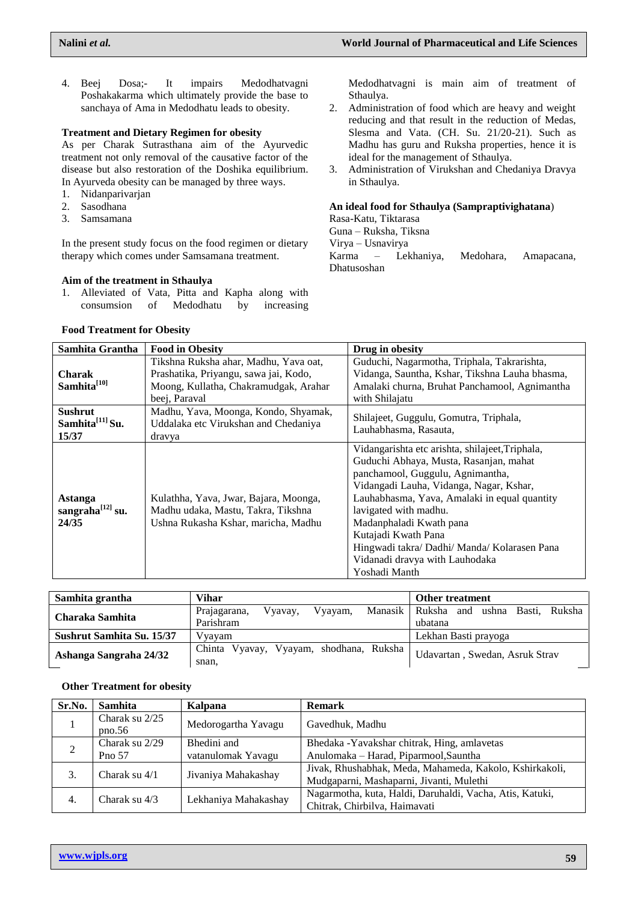4. Beej Dosa;- It impairs Medodhatvagni Poshakakarma which ultimately provide the base to sanchaya of Ama in Medodhatu leads to obesity.

#### **Treatment and Dietary Regimen for obesity**

As per Charak Sutrasthana aim of the Ayurvedic treatment not only removal of the causative factor of the disease but also restoration of the Doshika equilibrium. In Ayurveda obesity can be managed by three ways.

- 1. Nidanparivarjan
- 2. Sasodhana
- 3. Samsamana

In the present study focus on the food regimen or dietary therapy which comes under Samsamana treatment.

#### **Aim of the treatment in Sthaulya**

1. Alleviated of Vata, Pitta and Kapha along with consumsion of Medodhatu by increasing

#### **Food Treatment for Obesity**

Medodhatvagni is main aim of treatment of Sthaulya.

- 2. Administration of food which are heavy and weight reducing and that result in the reduction of Medas, Slesma and Vata. (CH. Su. 21/20-21). Such as Madhu has guru and Ruksha properties, hence it is ideal for the management of Sthaulya.
- 3. Administration of Virukshan and Chedaniya Dravya in Sthaulya.

#### **An ideal food for Sthaulya (Sampraptivighatana**)

Rasa-Katu, Tiktarasa

Guna – Ruksha, Tiksna

Virya – Usnavirya

Karma – Lekhaniya, Medohara, Amapacana, Dhatusoshan

| Samhita Grantha                            | <b>Food in Obesity</b>                                                                                                                   | Drug in obesity                                                                                                                                                                                                                                                                                                                                                                                        |
|--------------------------------------------|------------------------------------------------------------------------------------------------------------------------------------------|--------------------------------------------------------------------------------------------------------------------------------------------------------------------------------------------------------------------------------------------------------------------------------------------------------------------------------------------------------------------------------------------------------|
| Charak<br>Samhita <sup>[10]</sup>          | Tikshna Ruksha ahar, Madhu, Yava oat,<br>Prashatika, Priyangu, sawa jai, Kodo,<br>Moong, Kullatha, Chakramudgak, Arahar<br>beej, Paraval | Guduchi, Nagarmotha, Triphala, Takrarishta,<br>Vidanga, Sauntha, Kshar, Tikshna Lauha bhasma,<br>Amalaki churna, Bruhat Panchamool, Agnimantha<br>with Shilajatu                                                                                                                                                                                                                                       |
| Sushrut<br>Samhita $^{[11]}$ Su.<br>15/37  | Madhu, Yava, Moonga, Kondo, Shyamak,<br>Uddalaka etc Virukshan and Chedaniya<br>dravya                                                   | Shilajeet, Guggulu, Gomutra, Triphala,<br>Lauhabhasma, Rasauta,                                                                                                                                                                                                                                                                                                                                        |
| Astanga<br>sangraha $^{[12]}$ su.<br>24/35 | Kulathha, Yava, Jwar, Bajara, Moonga,<br>Madhu udaka, Mastu, Takra, Tikshna<br>Ushna Rukasha Kshar, maricha, Madhu                       | Vidangarishta etc arishta, shilajeet, Triphala,<br>Guduchi Abhaya, Musta, Rasanjan, mahat<br>panchamool, Guggulu, Agnimantha,<br>Vidangadi Lauha, Vidanga, Nagar, Kshar,<br>Lauhabhasma, Yava, Amalaki in equal quantity<br>lavigated with madhu.<br>Madanphaladi Kwath pana<br>Kutajadi Kwath Pana<br>Hingwadi takra/ Dadhi/ Manda/ Kolarasen Pana<br>Vidanadi dravya with Lauhodaka<br>Yoshadi Manth |

| Samhita grantha           | Vihar                                           | <b>Other treatment</b>               |  |
|---------------------------|-------------------------------------------------|--------------------------------------|--|
| Charaka Samhita           | Manasik  <br>Vyavay.<br>Vyayam,<br>Prajagarana, | ushna<br>Basti. Ruksha<br>Ruksha and |  |
|                           | Parishram                                       | ubatana                              |  |
| Sushrut Samhita Su. 15/37 | V yayam                                         | Lekhan Basti prayoga                 |  |
|                           | Chinta Vyavay, Vyayam, shodhana, Ruksha         | Udavartan, Swedan, Asruk Strav       |  |
| Ashanga Sangraha 24/32    | snan,                                           |                                      |  |

### **Other Treatment for obesity**

| Sr.No.         | <b>Samhita</b>           | Kalpana                           | <b>Remark</b>                                                                                       |
|----------------|--------------------------|-----------------------------------|-----------------------------------------------------------------------------------------------------|
|                | Charak su 2/25<br>pno.56 | Medorogartha Yavagu               | Gavedhuk, Madhu                                                                                     |
| $\overline{2}$ | Charak su 2/29<br>Pno 57 | Bhedini and<br>vatanulomak Yavagu | Bhedaka - Yavakshar chitrak, Hing, amlavetas<br>Anulomaka – Harad, Piparmool, Sauntha               |
| 3.             | Charak su 4/1            | Jivaniya Mahakashay               | Jivak, Rhushabhak, Meda, Mahameda, Kakolo, Kshirkakoli,<br>Mudgaparni, Mashaparni, Jivanti, Mulethi |
| 4.             | Charak su 4/3            | Lekhaniya Mahakashay              | Nagarmotha, kuta, Haldi, Daruhaldi, Vacha, Atis, Katuki,<br>Chitrak, Chirbilva, Haimavati           |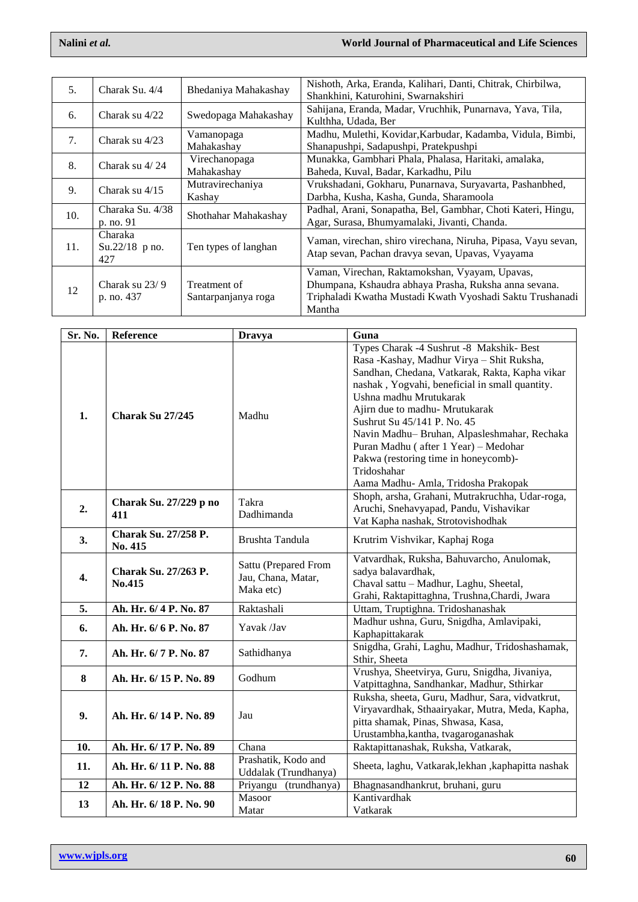| 5.  | Charak Su, 4/4                     | Bhedaniya Mahakashay                | Nishoth, Arka, Eranda, Kalihari, Danti, Chitrak, Chirbilwa,<br>Shankhini, Katurohini, Swarnakshiri                                                                             |
|-----|------------------------------------|-------------------------------------|--------------------------------------------------------------------------------------------------------------------------------------------------------------------------------|
| 6.  | Charak su 4/22                     | Swedopaga Mahakashay                | Sahijana, Eranda, Madar, Vruchhik, Punarnava, Yava, Tila,<br>Kulthha, Udada, Ber                                                                                               |
| 7.  | Charak su 4/23                     | Vamanopaga<br>Mahakashay            | Madhu, Mulethi, Kovidar, Karbudar, Kadamba, Vidula, Bimbi,<br>Shanapushpi, Sadapushpi, Pratekpushpi                                                                            |
| 8.  | Charak su 4/24                     | Virechanopaga<br>Mahakashay         | Munakka, Gambhari Phala, Phalasa, Haritaki, amalaka,<br>Baheda, Kuval, Badar, Karkadhu, Pilu                                                                                   |
| 9.  | Charak su $4/15$                   | Mutravirechaniya<br>Kashay          | Vrukshadani, Gokharu, Punarnava, Suryavarta, Pashanbhed,<br>Darbha, Kusha, Kasha, Gunda, Sharamoola                                                                            |
| 10. | Charaka Su. 4/38<br>p. no. 91      | Shothahar Mahakashay                | Padhal, Arani, Sonapatha, Bel, Gambhar, Choti Kateri, Hingu,<br>Agar, Surasa, Bhumyamalaki, Jivanti, Chanda.                                                                   |
| 11. | Charaka<br>$Su.22/18$ p no.<br>427 | Ten types of langhan                | Vaman, virechan, shiro virechana, Niruha, Pipasa, Vayu sevan,<br>Atap sevan, Pachan dravya sevan, Upavas, Vyayama                                                              |
| 12  | Charak su 23/9<br>p. no. 437       | Treatment of<br>Santarpanjanya roga | Vaman, Virechan, Raktamokshan, Vyayam, Upavas,<br>Dhumpana, Kshaudra abhaya Prasha, Ruksha anna sevana.<br>Triphaladi Kwatha Mustadi Kwath Vyoshadi Saktu Trushanadi<br>Mantha |

| Sr. No. | Reference                              | <b>Dravya</b>                                           | Guna                                                                                                                                                                                                                                                                                                                                                                                                                                                                      |
|---------|----------------------------------------|---------------------------------------------------------|---------------------------------------------------------------------------------------------------------------------------------------------------------------------------------------------------------------------------------------------------------------------------------------------------------------------------------------------------------------------------------------------------------------------------------------------------------------------------|
| 1.      | Charak Su 27/245                       | Madhu                                                   | Types Charak -4 Sushrut -8 Makshik- Best<br>Rasa -Kashay, Madhur Virya - Shit Ruksha,<br>Sandhan, Chedana, Vatkarak, Rakta, Kapha vikar<br>nashak, Yogvahi, beneficial in small quantity.<br>Ushna madhu Mrutukarak<br>Ajirn due to madhu- Mrutukarak<br>Sushrut Su 45/141 P. No. 45<br>Navin Madhu-Bruhan, Alpasleshmahar, Rechaka<br>Puran Madhu (after 1 Year) - Medohar<br>Pakwa (restoring time in honeycomb)-<br>Tridoshahar<br>Aama Madhu- Amla, Tridosha Prakopak |
| 2.      | Charak Su. 27/229 p no<br>411          | Takra<br>Dadhimanda                                     | Shoph, arsha, Grahani, Mutrakruchha, Udar-roga,<br>Aruchi, Snehavyapad, Pandu, Vishavikar<br>Vat Kapha nashak, Strotovishodhak                                                                                                                                                                                                                                                                                                                                            |
| 3.      | <b>Charak Su. 27/258 P.</b><br>No. 415 | Brushta Tandula                                         | Krutrim Vishvikar, Kaphaj Roga                                                                                                                                                                                                                                                                                                                                                                                                                                            |
| 4.      | Charak Su. 27/263 P.<br>No.415         | Sattu (Prepared From<br>Jau, Chana, Matar,<br>Maka etc) | Vatvardhak, Ruksha, Bahuvarcho, Anulomak,<br>sadya balavardhak,<br>Chaval sattu - Madhur, Laghu, Sheetal,<br>Grahi, Raktapittaghna, Trushna, Chardi, Jwara                                                                                                                                                                                                                                                                                                                |
| 5.      | Ah. Hr. 6/ 4 P. No. 87                 | Raktashali                                              | Uttam, Truptighna. Tridoshanashak                                                                                                                                                                                                                                                                                                                                                                                                                                         |
| 6.      | Ah. Hr. 6/6 P. No. 87                  | Yavak /Jav                                              | Madhur ushna, Guru, Snigdha, Amlavipaki,<br>Kaphapittakarak                                                                                                                                                                                                                                                                                                                                                                                                               |
| 7.      | Ah. Hr. 6/7 P. No. 87                  | Sathidhanya                                             | Snigdha, Grahi, Laghu, Madhur, Tridoshashamak,<br>Sthir, Sheeta                                                                                                                                                                                                                                                                                                                                                                                                           |
| 8       | Ah. Hr. 6/15 P. No. 89                 | Godhum                                                  | Vrushya, Sheetvirya, Guru, Snigdha, Jivaniya,<br>Vatpittaghna, Sandhankar, Madhur, Sthirkar                                                                                                                                                                                                                                                                                                                                                                               |
| 9.      | Ah. Hr. 6/14 P. No. 89                 | Jau                                                     | Ruksha, sheeta, Guru, Madhur, Sara, vidvatkrut,<br>Viryavardhak, Sthaairyakar, Mutra, Meda, Kapha,<br>pitta shamak, Pinas, Shwasa, Kasa,<br>Urustambha, kantha, tvagaroganashak                                                                                                                                                                                                                                                                                           |
| 10.     | Ah. Hr. 6/17 P. No. 89                 | Chana                                                   | Raktapittanashak, Ruksha, Vatkarak,                                                                                                                                                                                                                                                                                                                                                                                                                                       |
| 11.     | Ah. Hr. 6/11 P. No. 88                 | Prashatik, Kodo and<br>Uddalak (Trundhanya)             | Sheeta, laghu, Vatkarak, lekhan, kaphapitta nashak                                                                                                                                                                                                                                                                                                                                                                                                                        |
| 12      | Ah. Hr. 6/12 P. No. 88                 | Priyangu (trundhanya)                                   | Bhagnasandhankrut, bruhani, guru                                                                                                                                                                                                                                                                                                                                                                                                                                          |
| 13      | Ah. Hr. 6/18 P. No. 90                 | Masoor<br>Matar                                         | Kantivardhak<br>Vatkarak                                                                                                                                                                                                                                                                                                                                                                                                                                                  |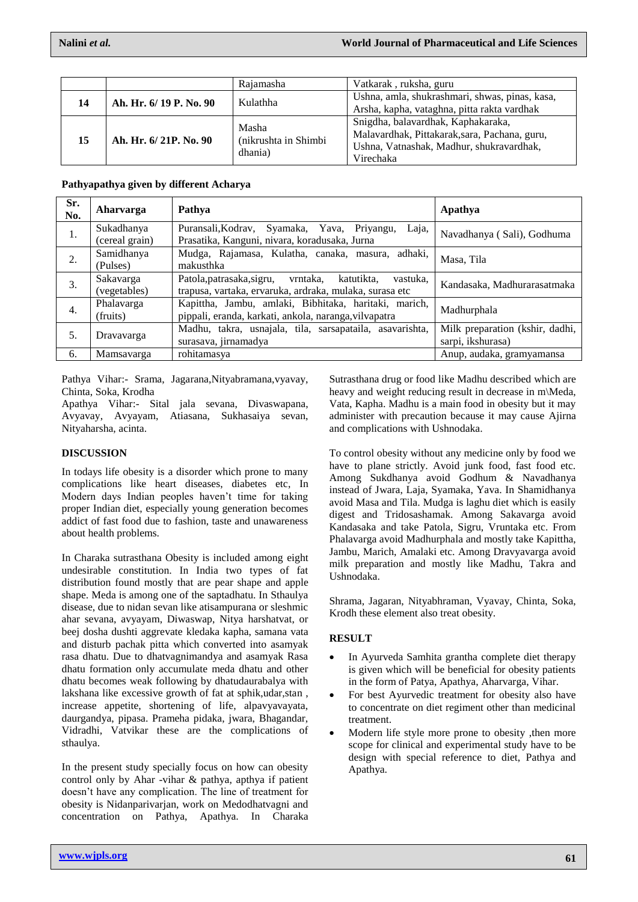|    |                        | Rajamasha                                | Vatkarak, ruksha, guru                                                                                                                       |
|----|------------------------|------------------------------------------|----------------------------------------------------------------------------------------------------------------------------------------------|
| 14 | Ah. Hr. 6/19 P. No. 90 | Kulathha                                 | Ushna, amla, shukrashmari, shwas, pinas, kasa,<br>Arsha, kapha, vataghna, pitta rakta vardhak                                                |
| 15 | Ah. Hr. 6/21P. No. 90  | Masha<br>(nikrushta in Shimbi<br>dhania) | Snigdha, balavardhak, Kaphakaraka,<br>Malavardhak, Pittakarak, sara, Pachana, guru,<br>Ushna, Vatnashak, Madhur, shukravardhak,<br>Virechaka |

| Pathyapathya given by different Acharya |  |  |
|-----------------------------------------|--|--|
|                                         |  |  |

| Sr.<br>No. | Aharvarga                    | Pathya                                                                                                                  | Apathya                                              |
|------------|------------------------------|-------------------------------------------------------------------------------------------------------------------------|------------------------------------------------------|
| 1.         | Sukadhanya<br>(cereal grain) | Laja,<br>Puransali, Kodrav, Syamaka, Yava, Priyangu,<br>Prasatika, Kanguni, nivara, koradusaka, Jurna                   | Navadhanya (Sali), Godhuma                           |
| 2.         | Samidhanya<br>(Pulses)       | Mudga, Rajamasa, Kulatha, canaka, masura, adhaki,<br>makusthka                                                          | Masa, Tila                                           |
| 3.         | Sakavarga<br>(vegetables)    | Patola, patrasaka, sigru, vrntaka,<br>katutikta.<br>vastuka,<br>trapusa, vartaka, ervaruka, ardraka, mulaka, surasa etc | Kandasaka, Madhurarasatmaka                          |
| 4.         | Phalavarga<br>(fruits)       | Kapittha, Jambu, amlaki, Bibhitaka, haritaki, marich,<br>pippali, eranda, karkati, ankola, naranga, vilvapatra          | Madhurphala                                          |
| 5.         | Dravavarga                   | Madhu, takra, usnajala, tila, sarsapataila, asavarishta,<br>surasava, jirnamadya                                        | Milk preparation (kshir, dadhi,<br>sarpi, ikshurasa) |
| 6.         | Mamsavarga                   | rohitamasya                                                                                                             | Anup, audaka, gramyamansa                            |

Pathya Vihar:- Srama, Jagarana,Nityabramana,vyavay, Chinta, Soka, Krodha

Apathya Vihar:- Sital jala sevana, Divaswapana, Avyavay, Avyayam, Atiasana, Sukhasaiya sevan, Nityaharsha, acinta.

### **DISCUSSION**

In todays life obesity is a disorder which prone to many complications like heart diseases, diabetes etc, In Modern days Indian peoples haven't time for taking proper Indian diet, especially young generation becomes addict of fast food due to fashion, taste and unawareness about health problems.

In Charaka sutrasthana Obesity is included among eight undesirable constitution. In India two types of fat distribution found mostly that are pear shape and apple shape. Meda is among one of the saptadhatu. In Sthaulya disease, due to nidan sevan like atisampurana or sleshmic ahar sevana, avyayam, Diwaswap, Nitya harshatvat, or beej dosha dushti aggrevate kledaka kapha, samana vata and disturb pachak pitta which converted into asamyak rasa dhatu. Due to dhatvagnimandya and asamyak Rasa dhatu formation only accumulate meda dhatu and other dhatu becomes weak following by dhatudaurabalya with lakshana like excessive growth of fat at sphik,udar,stan , increase appetite, shortening of life, alpavyavayata, daurgandya, pipasa. Prameha pidaka, jwara, Bhagandar, Vidradhi, Vatvikar these are the complications of sthaulya.

In the present study specially focus on how can obesity control only by Ahar -vihar & pathya, apthya if patient doesn't have any complication. The line of treatment for obesity is Nidanparivarjan, work on Medodhatvagni and concentration on Pathya, Apathya. In Charaka

Sutrasthana drug or food like Madhu described which are heavy and weight reducing result in decrease in m\Meda, Vata, Kapha. Madhu is a main food in obesity but it may administer with precaution because it may cause Ajirna and complications with Ushnodaka.

To control obesity without any medicine only by food we have to plane strictly. Avoid junk food, fast food etc. Among Sukdhanya avoid Godhum & Navadhanya instead of Jwara, Laja, Syamaka, Yava. In Shamidhanya avoid Masa and Tila. Mudga is laghu diet which is easily digest and Tridosashamak. Among Sakavarga avoid Kandasaka and take Patola, Sigru, Vruntaka etc. From Phalavarga avoid Madhurphala and mostly take Kapittha, Jambu, Marich, Amalaki etc. Among Dravyavarga avoid milk preparation and mostly like Madhu, Takra and Ushnodaka.

Shrama, Jagaran, Nityabhraman, Vyavay, Chinta, Soka, Krodh these element also treat obesity.

# **RESULT**

- In Ayurveda Samhita grantha complete diet therapy is given which will be beneficial for obesity patients in the form of Patya, Apathya, Aharvarga, Vihar.
- For best Ayurvedic treatment for obesity also have to concentrate on diet regiment other than medicinal treatment.
- Modern life style more prone to obesity ,then more scope for clinical and experimental study have to be design with special reference to diet, Pathya and Apathya.